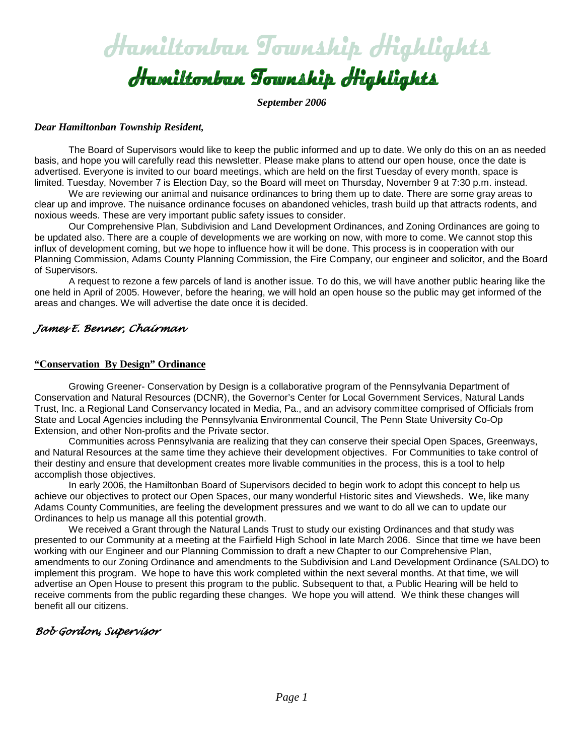# Hamiltonban Township Highlights

*September 2006*

#### *Dear Hamiltonban Township Resident,*

The Board of Supervisors would like to keep the public informed and up to date. We only do this on an as needed basis, and hope you will carefully read this newsletter. Please make plans to attend our open house, once the date is advertised. Everyone is invited to our board meetings, which are held on the first Tuesday of every month, space is limited. Tuesday, November 7 is Election Day, so the Board will meet on Thursday, November 9 at 7:30 p.m. instead.

 We are reviewing our animal and nuisance ordinances to bring them up to date. There are some gray areas to clear up and improve. The nuisance ordinance focuses on abandoned vehicles, trash build up that attracts rodents, and noxious weeds. These are very important public safety issues to consider.

 Our Comprehensive Plan, Subdivision and Land Development Ordinances, and Zoning Ordinances are going to be updated also. There are a couple of developments we are working on now, with more to come. We cannot stop this influx of development coming, but we hope to influence how it will be done. This process is in cooperation with our Planning Commission, Adams County Planning Commission, the Fire Company, our engineer and solicitor, and the Board of Supervisors.

 A request to rezone a few parcels of land is another issue. To do this, we will have another public hearing like the one held in April of 2005. However, before the hearing, we will hold an open house so the public may get informed of the areas and changes. We will advertise the date once it is decided.

# *James E. Benner, Chairman*

#### **"Conservation By Design" Ordinance**

Growing Greener- Conservation by Design is a collaborative program of the Pennsylvania Department of Conservation and Natural Resources (DCNR), the Governor's Center for Local Government Services, Natural Lands Trust, Inc. a Regional Land Conservancy located in Media, Pa., and an advisory committee comprised of Officials from State and Local Agencies including the Pennsylvania Environmental Council, The Penn State University Co-Op Extension, and other Non-profits and the Private sector.

Communities across Pennsylvania are realizing that they can conserve their special Open Spaces, Greenways, and Natural Resources at the same time they achieve their development objectives. For Communities to take control of their destiny and ensure that development creates more livable communities in the process, this is a tool to help accomplish those objectives.

In early 2006, the Hamiltonban Board of Supervisors decided to begin work to adopt this concept to help us achieve our objectives to protect our Open Spaces, our many wonderful Historic sites and Viewsheds. We, like many Adams County Communities, are feeling the development pressures and we want to do all we can to update our Ordinances to help us manage all this potential growth.

We received a Grant through the Natural Lands Trust to study our existing Ordinances and that study was presented to our Community at a meeting at the Fairfield High School in late March 2006. Since that time we have been working with our Engineer and our Planning Commission to draft a new Chapter to our Comprehensive Plan, amendments to our Zoning Ordinance and amendments to the Subdivision and Land Development Ordinance (SALDO) to implement this program. We hope to have this work completed within the next several months. At that time, we will advertise an Open House to present this program to the public. Subsequent to that, a Public Hearing will be held to receive comments from the public regarding these changes. We hope you will attend. We think these changes will benefit all our citizens.

# *Bob Gordon, Supervisor*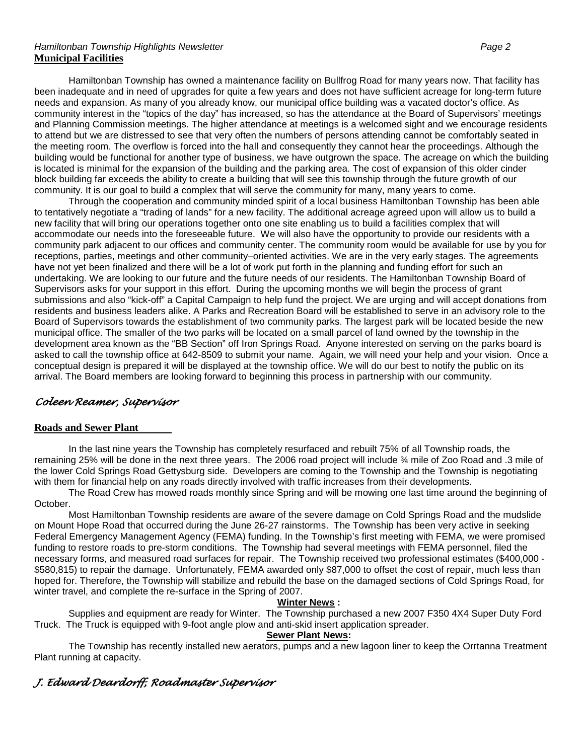#### *Hamiltonban Township Highlights Newsletter Page 2* **Municipal Facilities**

Hamiltonban Township has owned a maintenance facility on Bullfrog Road for many years now. That facility has been inadequate and in need of upgrades for quite a few years and does not have sufficient acreage for long-term future needs and expansion. As many of you already know, our municipal office building was a vacated doctor's office. As community interest in the "topics of the day" has increased, so has the attendance at the Board of Supervisors' meetings and Planning Commission meetings. The higher attendance at meetings is a welcomed sight and we encourage residents to attend but we are distressed to see that very often the numbers of persons attending cannot be comfortably seated in the meeting room. The overflow is forced into the hall and consequently they cannot hear the proceedings. Although the building would be functional for another type of business, we have outgrown the space. The acreage on which the building is located is minimal for the expansion of the building and the parking area. The cost of expansion of this older cinder block building far exceeds the ability to create a building that will see this township through the future growth of our community. It is our goal to build a complex that will serve the community for many, many years to come.

Through the cooperation and community minded spirit of a local business Hamiltonban Township has been able to tentatively negotiate a "trading of lands" for a new facility. The additional acreage agreed upon will allow us to build a new facility that will bring our operations together onto one site enabling us to build a facilities complex that will accommodate our needs into the foreseeable future. We will also have the opportunity to provide our residents with a community park adjacent to our offices and community center. The community room would be available for use by you for receptions, parties, meetings and other community–oriented activities. We are in the very early stages. The agreements have not yet been finalized and there will be a lot of work put forth in the planning and funding effort for such an undertaking. We are looking to our future and the future needs of our residents. The Hamiltonban Township Board of Supervisors asks for your support in this effort. During the upcoming months we will begin the process of grant submissions and also "kick-off" a Capital Campaign to help fund the project. We are urging and will accept donations from residents and business leaders alike. A Parks and Recreation Board will be established to serve in an advisory role to the Board of Supervisors towards the establishment of two community parks. The largest park will be located beside the new municipal office. The smaller of the two parks will be located on a small parcel of land owned by the township in the development area known as the "BB Section" off Iron Springs Road. Anyone interested on serving on the parks board is asked to call the township office at 642-8509 to submit your name. Again, we will need your help and your vision. Once a conceptual design is prepared it will be displayed at the township office. We will do our best to notify the public on its arrival. The Board members are looking forward to beginning this process in partnership with our community.

# *Coleen Reamer, Supervisor*

### **Roads and Sewer Plant**

In the last nine years the Township has completely resurfaced and rebuilt 75% of all Township roads, the remaining 25% will be done in the next three years. The 2006 road project will include ¾ mile of Zoo Road and .3 mile of the lower Cold Springs Road Gettysburg side. Developers are coming to the Township and the Township is negotiating with them for financial help on any roads directly involved with traffic increases from their developments.

The Road Crew has mowed roads monthly since Spring and will be mowing one last time around the beginning of October.

Most Hamiltonban Township residents are aware of the severe damage on Cold Springs Road and the mudslide on Mount Hope Road that occurred during the June 26-27 rainstorms. The Township has been very active in seeking Federal Emergency Management Agency (FEMA) funding. In the Township's first meeting with FEMA, we were promised funding to restore roads to pre-storm conditions. The Township had several meetings with FEMA personnel, filed the necessary forms, and measured road surfaces for repair. The Township received two professional estimates (\$400,000 - \$580,815) to repair the damage. Unfortunately, FEMA awarded only \$87,000 to offset the cost of repair, much less than hoped for. Therefore, the Township will stabilize and rebuild the base on the damaged sections of Cold Springs Road, for winter travel, and complete the re-surface in the Spring of 2007.

#### **Winter News :**

Supplies and equipment are ready for Winter. The Township purchased a new 2007 F350 4X4 Super Duty Ford Truck. The Truck is equipped with 9-foot angle plow and anti-skid insert application spreader.

#### **Sewer Plant News:**

The Township has recently installed new aerators, pumps and a new lagoon liner to keep the Orrtanna Treatment Plant running at capacity.

# *J. Edward Deardorff, Roadmaster Supervisor*